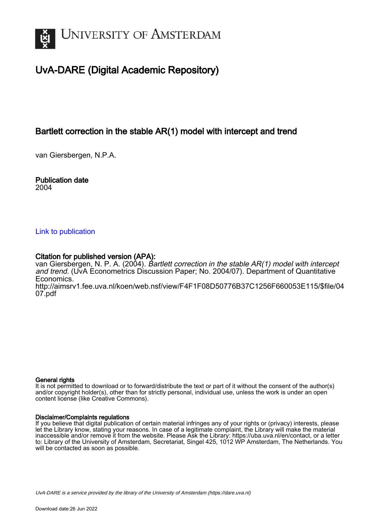

# UvA-DARE (Digital Academic Repository)

# Bartlett correction in the stable AR(1) model with intercept and trend

van Giersbergen, N.P.A.

Publication date 2004

### [Link to publication](https://dare.uva.nl/personal/pure/en/publications/bartlett-correction-in-the-stable-ar1-model-with-intercept-and-trend(1d22722d-9e2a-4e7a-8013-b53f9fcbac05).html)

## Citation for published version (APA):

van Giersbergen, N. P. A. (2004). Bartlett correction in the stable  $AR(1)$  model with intercept and trend. (UvA Econometrics Discussion Paper; No. 2004/07). Department of Quantitative Economics. [http://aimsrv1.fee.uva.nl/koen/web.nsf/view/F4F1F08D50776B37C1256F660053E115/\\$file/04](http://aimsrv1.fee.uva.nl/koen/web.nsf/view/F4F1F08D50776B37C1256F660053E115/$file/0407.pdf) [07.pdf](http://aimsrv1.fee.uva.nl/koen/web.nsf/view/F4F1F08D50776B37C1256F660053E115/$file/0407.pdf)

#### General rights

It is not permitted to download or to forward/distribute the text or part of it without the consent of the author(s) and/or copyright holder(s), other than for strictly personal, individual use, unless the work is under an open content license (like Creative Commons).

#### Disclaimer/Complaints regulations

If you believe that digital publication of certain material infringes any of your rights or (privacy) interests, please let the Library know, stating your reasons. In case of a legitimate complaint, the Library will make the material inaccessible and/or remove it from the website. Please Ask the Library: https://uba.uva.nl/en/contact, or a letter to: Library of the University of Amsterdam, Secretariat, Singel 425, 1012 WP Amsterdam, The Netherlands. You will be contacted as soon as possible.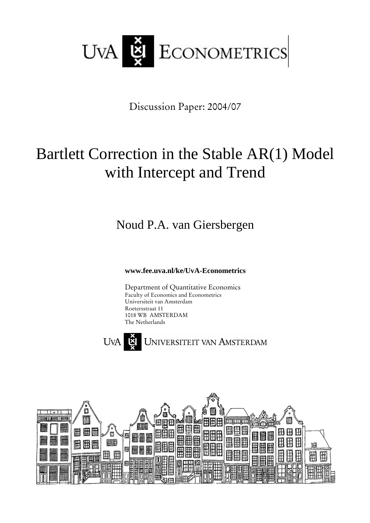

Discussion Paper: 2004/07

# Bartlett Correction in the Stable AR(1) Model with Intercept and Trend

Noud P.A. van Giersbergen

**www.fee.uva.nl/ke/UvA-Econometrics**

Department of Quantitative Economics Faculty of Economics and Econometrics Universiteit van Amsterdam Roetersstraat 11 1018 WB AMSTERDAM The Netherlands



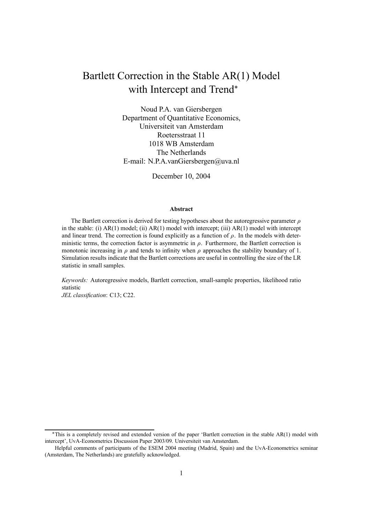# Bartlett Correction in the Stable AR(1) Model with Intercept and Trend<sup>\*</sup>

Noud P.A. van Giersbergen Department of Quantitative Economics, Universiteit van Amsterdam Roetersstraat 11 1018 WB Amsterdam The Netherlands E-mail: N.P.A.vanGiersbergen@uva.nl

December 10, 2004

#### **Abstract**

The Bartlett correction is derived for testing hypotheses about the autoregressive parameter  $\rho$ in the stable: (i)  $AR(1)$  model; (ii)  $AR(1)$  model with intercept; (iii)  $AR(1)$  model with intercept and linear trend. The correction is found explicitly as a function of  $\rho$ . In the models with deterministic terms, the correction factor is asymmetric in  $\rho$ . Furthermore, the Bartlett correction is monotonic increasing in  $\rho$  and tends to infinity when  $\rho$  approaches the stability boundary of 1. Simulation results indicate that the Bartlett corrections are useful in controlling the size of the LR statistic in small samples.

*Keywords:* Autoregressive models, Bartlett correction, small-sample properties, likelihood ratio statistic

*JEL classification*: C13; C22.

<sup>∗</sup>This is a completely revised and extended version of the paper 'Bartlett correction in the stable AR(1) model with intercept', UvA-Econometrics Discussion Paper 2003/09. Universiteit van Amsterdam.

Helpful comments of participants of the ESEM 2004 meeting (Madrid, Spain) and the UvA-Econometrics seminar (Amsterdam, The Netherlands) are gratefully acknowledged.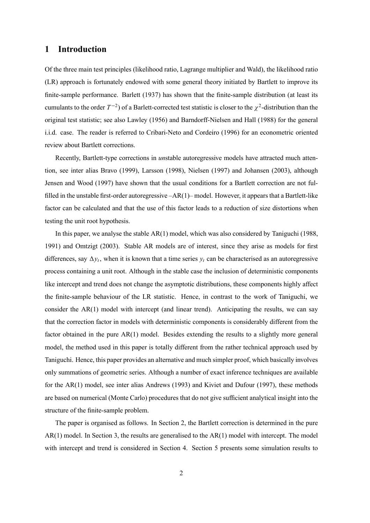# **1 Introduction**

Of the three main test principles (likelihood ratio, Lagrange multiplier and Wald), the likelihood ratio (LR) approach is fortunately endowed with some general theory initiated by Bartlett to improve its finite-sample performance. Barlett (1937) has shown that the finite-sample distribution (at least its cumulants to the order  $T^{-2}$ ) of a Barlett-corrected test statistic is closer to the  $\chi^2$ -distribution than the original test statistic; see also Lawley (1956) and Barndorff-Nielsen and Hall (1988) for the general i.i.d. case. The reader is referred to Cribari-Neto and Cordeiro (1996) for an econometric oriented review about Bartlett corrections.

Recently, Bartlett-type corrections in *un*stable autoregressive models have attracted much attention, see inter alias Bravo (1999), Larsson (1998), Nielsen (1997) and Johansen (2003), although Jensen and Wood (1997) have shown that the usual conditions for a Bartlett correction are not fulfilled in the unstable first-order autoregressive –AR(1)– model. However, it appears that a Bartlett-like factor can be calculated and that the use of this factor leads to a reduction of size distortions when testing the unit root hypothesis.

In this paper, we analyse the stable AR(1) model, which was also considered by Taniguchi (1988, 1991) and Omtzigt (2003). Stable AR models are of interest, since they arise as models for first differences, say  $\Delta y_t$ , when it is known that a time series  $y_t$  can be characterised as an autoregressive process containing a unit root. Although in the stable case the inclusion of deterministic components like intercept and trend does not change the asymptotic distributions, these components highly affect the finite-sample behaviour of the LR statistic. Hence, in contrast to the work of Taniguchi, we consider the AR(1) model with intercept (and linear trend). Anticipating the results, we can say that the correction factor in models with deterministic components is considerably different from the factor obtained in the pure AR(1) model. Besides extending the results to a slightly more general model, the method used in this paper is totally different from the rather technical approach used by Taniguchi. Hence, this paper provides an alternative and much simpler proof, which basically involves only summations of geometric series. Although a number of exact inference techniques are available for the AR(1) model, see inter alias Andrews (1993) and Kiviet and Dufour (1997), these methods are based on numerical (Monte Carlo) procedures that do not give sufficient analytical insight into the structure of the finite-sample problem.

The paper is organised as follows. In Section 2, the Bartlett correction is determined in the pure  $AR(1)$  model. In Section 3, the results are generalised to the  $AR(1)$  model with intercept. The model with intercept and trend is considered in Section 4. Section 5 presents some simulation results to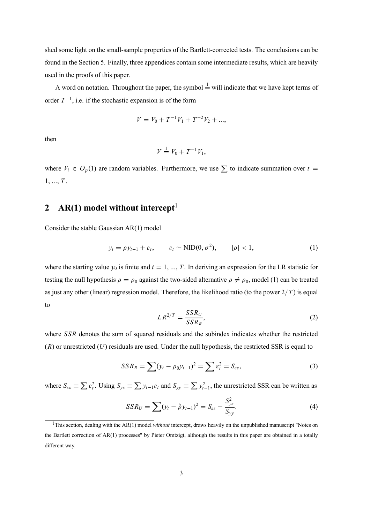shed some light on the small-sample properties of the Bartlett-corrected tests. The conclusions can be found in the Section 5. Finally, three appendices contain some intermediate results, which are heavily used in the proofs of this paper.

A word on notation. Throughout the paper, the symbol  $\frac{1}{x}$  will indicate that we have kept terms of order  $T^{-1}$ , i.e. if the stochastic expansion is of the form

$$
V = V_0 + T^{-1}V_1 + T^{-2}V_2 + \dots,
$$

then

$$
V = V_0 + T^{-1}V_1,
$$

where  $V_i \in O_p(1)$  are random variables. Furthermore, we use  $\sum$  to indicate summation over  $t =$ 1, ..., *T* .

# **2** AR(1) model without intercept<sup>1</sup>

Consider the stable Gaussian AR(1) model

$$
y_t = \rho y_{t-1} + \varepsilon_t, \qquad \varepsilon_t \sim \text{NID}(0, \sigma^2), \qquad |\rho| < 1,\tag{1}
$$

where the starting value  $y_0$  is finite and  $t = 1, ..., T$ . In deriving an expression for the LR statistic for testing the null hypothesis  $\rho = \rho_0$  against the two-sided alternative  $\rho \neq \rho_0$ , model (1) can be treated as just any other (linear) regression model. Therefore, the likelihood ratio (to the power 2/*T* ) is equal to

$$
LR^{2/T} = \frac{SSR_U}{SSR_R},\tag{2}
$$

where *SSR* denotes the sum of squared residuals and the subindex indicates whether the restricted (*R*) or unrestricted (*U*) residuals are used. Under the null hypothesis, the restricted SSR is equal to

$$
SSR_R = \sum (y_t - \rho_0 y_{t-1})^2 = \sum \varepsilon_t^2 = S_{\varepsilon\varepsilon},
$$
\n(3)

where  $S_{\varepsilon\varepsilon} \equiv \sum \varepsilon_t^2$ . Using  $S_{\varepsilon\varepsilon} \equiv \sum y_{t-1}\varepsilon_t$  and  $S_{\varepsilon y} \equiv \sum y_{t-1}^2$ , the unrestricted SSR can be written as

$$
SSR_U = \sum (y_t - \hat{\rho} y_{t-1})^2 = S_{\varepsilon \varepsilon} - \frac{S_{y\varepsilon}^2}{S_{yy}}.
$$
 (4)

<sup>&</sup>lt;sup>1</sup>This section, dealing with the AR(1) model *without* intercept, draws heavily on the unpublished manuscript "Notes on the Bartlett correction of AR(1) processes" by Pieter Omtzigt, although the results in this paper are obtained in a totally different way.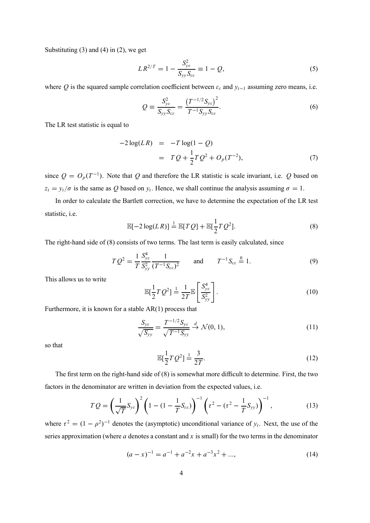Substituting  $(3)$  and  $(4)$  in  $(2)$ , we get

$$
LR^{2/T} = 1 - \frac{S_{ye}^2}{S_{yy}S_{ee}} \equiv 1 - Q,
$$
\n(5)

where  $Q$  is the squared sample correlation coefficient between  $\varepsilon_t$  and  $y_{t-1}$  assuming zero means, i.e.

$$
Q = \frac{S_{ye}^2}{S_{yy}S_{ee}} = \frac{\left(T^{-1/2}S_{ye}\right)^2}{T^{-1}S_{yy}S_{ee}}.
$$
\n
$$
(6)
$$

The LR test statistic is equal to

$$
-2\log(LR) = -T\log(1 - Q)
$$
  
=  $TQ + \frac{1}{2}TQ^2 + O_p(T^{-2}),$  (7)

since  $Q = O_p(T^{-1})$ . Note that Q and therefore the LR statistic is scale invariant, i.e. Q based on  $z_t = y_t/\sigma$  is the same as *Q* based on  $y_t$ . Hence, we shall continue the analysis assuming  $\sigma = 1$ .

In order to calculate the Bartlett correction, we have to determine the expectation of the LR test statistic, i.e.

$$
\mathbb{E}[-2\log(LR)] \stackrel{1}{=} \mathbb{E}[TQ] + \mathbb{E}[\frac{1}{2}TQ^2].\tag{8}
$$

The right-hand side of (8) consists of two terms. The last term is easily calculated, since

$$
TQ^{2} = \frac{1}{T} \frac{S_{ye}^{4}}{S_{yy}^{2}} \frac{1}{(T^{-1}S_{\varepsilon\varepsilon})^{2}} \quad \text{and} \quad T^{-1}S_{\varepsilon\varepsilon} \stackrel{0}{=} 1.
$$
 (9)

This allows us to write

$$
\mathbb{E}[\frac{1}{2}TQ^2] \stackrel{!}{=} \frac{1}{2T} \mathbb{E}\left[\frac{S_{yz}^4}{S_{yy}^2}\right].
$$
\n(10)

Furthermore, it is known for a stable AR(1) process that

$$
\frac{S_{ye}}{\sqrt{S_{yy}}} = \frac{T^{-1/2}S_{ye}}{\sqrt{T^{-1}S_{yy}}} \stackrel{d}{\to} \mathcal{N}(0, 1),
$$
\n(11)

so that

$$
\mathbb{E}[\frac{1}{2}TQ^2] \stackrel{!}{=} \frac{3}{2T}.
$$
\n(12)

The first term on the right-hand side of (8) is somewhat more difficult to determine. First, the two factors in the denominator are written in deviation from the expected values, i.e.

$$
TQ = \left(\frac{1}{\sqrt{T}}S_{yz}\right)^2 \left(1 - (1 - \frac{1}{T}S_{\varepsilon\varepsilon})\right)^{-1} \left(\tau^2 - (\tau^2 - \frac{1}{T}S_{yy})\right)^{-1},\tag{13}
$$

where  $\tau^2 = (1 - \rho^2)^{-1}$  denotes the (asymptotic) unconditional variance of  $y_t$ . Next, the use of the series approximation (where *a* denotes a constant and *x* is small) for the two terms in the denominator

$$
(a-x)^{-1} = a^{-1} + a^{-2}x + a^{-3}x^2 + \dots,
$$
 (14)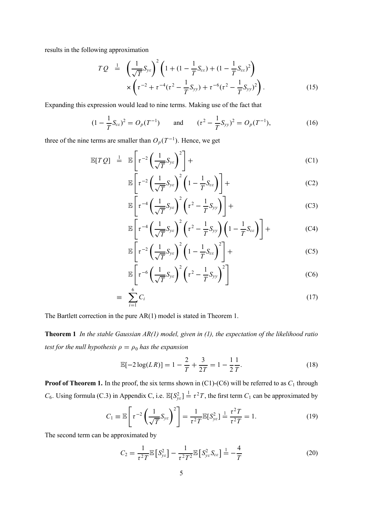results in the following approximation

$$
TQ = \left(\frac{1}{\sqrt{T}}S_{yz}\right)^2 \left(1 + (1 - \frac{1}{T}S_{\varepsilon\varepsilon}) + (1 - \frac{1}{T}S_{\varepsilon\varepsilon})^2\right) \times \left(\tau^{-2} + \tau^{-4}(\tau^2 - \frac{1}{T}S_{yy}) + \tau^{-6}(\tau^2 - \frac{1}{T}S_{yy})^2\right).
$$
 (15)

Expanding this expression would lead to nine terms. Making use of the fact that

$$
(1 - \frac{1}{T}S_{\varepsilon\varepsilon})^2 = O_p(T^{-1}) \quad \text{and} \quad ( \tau^2 - \frac{1}{T}S_{yy})^2 = O_p(T^{-1}), \tag{16}
$$

three of the nine terms are smaller than  $O_p(T^{-1})$ . Hence, we get

$$
\mathbb{E}[TQ] \stackrel{1}{=} \mathbb{E}\left[\tau^{-2}\left(\frac{1}{\sqrt{T}}S_{yz}\right)^2\right] +
$$
\n(C1)

$$
\mathbb{E}\left[\tau^{-2}\left(\frac{1}{\sqrt{T}}S_{ye}\right)^2\left(1-\frac{1}{T}S_{ee}\right)\right] +
$$
 (C2)

$$
\mathbb{E}\left[\tau^{-4}\left(\frac{1}{\sqrt{T}}S_{yz}\right)^2\left(\tau^2-\frac{1}{T}S_{yy}\right)\right]+
$$
 (C3)

$$
\mathbb{E}\left[\tau^{-4}\left(\frac{1}{\sqrt{T}}S_{yz}\right)^2\left(\tau^2-\frac{1}{T}S_{yy}\right)\left(1-\frac{1}{T}S_{\varepsilon\varepsilon}\right)\right]+
$$
 (C4)

$$
\mathbb{E}\left[\tau^{-2}\left(\frac{1}{\sqrt{T}}S_{yz}\right)^2\left(1-\frac{1}{T}S_{\varepsilon\varepsilon}\right)^2\right]+
$$
 (C5)

$$
\mathbb{E}\left[\tau^{-6}\left(\frac{1}{\sqrt{T}}S_{yz}\right)^2\left(\tau^2-\frac{1}{T}S_{yy}\right)^2\right]
$$
(C6)

$$
\equiv \sum_{i=1}^{6} C_i \tag{17}
$$

The Bartlett correction in the pure AR(1) model is stated in Theorem 1.

**Theorem 1** *In the stable Gaussian AR(1) model, given in (1), the expectation of the likelihood ratio test for the null hypothesis*  $\rho = \rho_0$  *has the expansion* 

$$
\mathbb{E}[-2\log(L\,R)] = 1 - \frac{2}{T} + \frac{3}{2T} = 1 - \frac{1}{2}\frac{1}{T}.\tag{18}
$$

**Proof of Theorem 1.** In the proof, the six terms shown in (C1)-(C6) will be referred to as  $C_1$  through *C*<sub>6</sub>. Using formula (C.3) in Appendix C, i.e.  $\mathbb{E}[S_{ye}^2] \stackrel{1}{=} \tau^2 T$ , the first term *C*<sub>1</sub> can be approximated by

$$
C_1 \equiv \mathbb{E}\left[\tau^{-2}\left(\frac{1}{\sqrt{T}}S_{yz}\right)^2\right] = \frac{1}{\tau^2T}\mathbb{E}[S_{yz}^2] = \frac{\tau^2T}{\tau^2T} = 1.
$$
 (19)

The second term can be approximated by

$$
C_2 = \frac{1}{\tau^2 T} \mathbb{E} \left[ S_{\mathcal{Y}\varepsilon}^2 \right] - \frac{1}{\tau^2 T^2} \mathbb{E} \left[ S_{\mathcal{Y}\varepsilon}^2 S_{\varepsilon\varepsilon} \right] = -\frac{4}{T}
$$
 (20)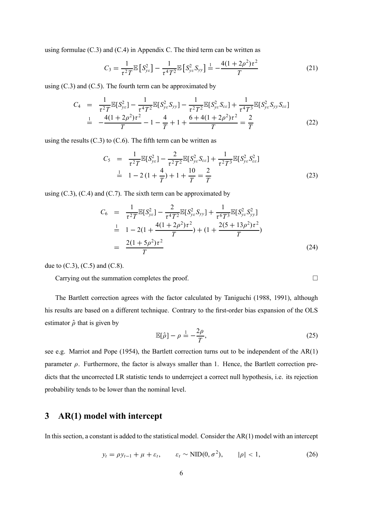using formulae (C.3) and (C.4) in Appendix C. The third term can be written as

$$
C_3 = \frac{1}{\tau^2 T} \mathbb{E} \left[ S_{\mathcal{Y}_{\mathcal{E}}}^2 \right] - \frac{1}{\tau^4 T^2} \mathbb{E} \left[ S_{\mathcal{Y}_{\mathcal{E}}}^2 S_{\mathcal{Y}_{\mathcal{Y}}} \right] = -\frac{4(1 + 2\rho^2)\tau^2}{T}
$$
(21)

using  $(C.3)$  and  $(C.5)$ . The fourth term can be approximated by

$$
C_4 = \frac{1}{\tau^2 T} \mathbb{E}[S_{ye}^2] - \frac{1}{\tau^4 T^2} \mathbb{E}[S_{ye}^2 S_{yy}] - \frac{1}{\tau^2 T^2} \mathbb{E}[S_{ye}^2 S_{ee}] + \frac{1}{\tau^4 T^3} \mathbb{E}[S_{ye}^2 S_{yy} S_{ee}]
$$
  

$$
= -\frac{4(1+2\rho^2)\tau^2}{T} - 1 - \frac{4}{T} + 1 + \frac{6+4(1+2\rho^2)\tau^2}{T} = \frac{2}{T}
$$
(22)

using the results  $(C.3)$  to  $(C.6)$ . The fifth term can be written as

$$
C_5 = \frac{1}{\tau^2 T} \mathbb{E}[S_{ye}^2] - \frac{2}{\tau^2 T^2} \mathbb{E}[S_{ye}^2 S_{ee}] + \frac{1}{\tau^2 T^3} \mathbb{E}[S_{ye}^2 S_{ee}^2]
$$
  
\n
$$
\frac{1}{\tau^2 T} = \frac{1 - 2(1 + \frac{4}{T}) + 1 + \frac{10}{T} = \frac{2}{T}
$$
 (23)

using  $(C.3)$ ,  $(C.4)$  and  $(C.7)$ . The sixth term can be approximated by

$$
C_6 = \frac{1}{\tau^2 T} \mathbb{E}[S_{ye}^2] - \frac{2}{\tau^4 T^2} \mathbb{E}[S_{ye}^2 S_{yy}] + \frac{1}{\tau^6 T^3} \mathbb{E}[S_{ye}^2 S_{yy}^2]
$$
  
\n
$$
\frac{1}{T} = 1 - 2(1 + \frac{4(1 + 2\rho^2)\tau^2}{T}) + (1 + \frac{2(5 + 13\rho^2)\tau^2}{T})
$$
  
\n
$$
= \frac{2(1 + 5\rho^2)\tau^2}{T}
$$
 (24)

due to  $(C.3)$ ,  $(C.5)$  and  $(C.8)$ .

Carrying out the summation completes the proof.  $\Box$ 

The Bartlett correction agrees with the factor calculated by Taniguchi (1988, 1991), although his results are based on a different technique. Contrary to the first-order bias expansion of the OLS estimator  $\hat{\rho}$  that is given by

$$
\mathbb{E}[\hat{\rho}] - \rho \stackrel{1}{=} -\frac{2\rho}{T},\tag{25}
$$

see e.g. Marriot and Pope (1954), the Bartlett correction turns out to be independent of the AR(1) parameter  $\rho$ . Furthermore, the factor is always smaller than 1. Hence, the Bartlett correction predicts that the uncorrected LR statistic tends to underreject a correct null hypothesis, i.e. its rejection probability tends to be lower than the nominal level.

# **3 AR(1) model with intercept**

In this section, a constant is added to the statistical model. Consider the  $AR(1)$  model with an intercept

$$
y_t = \rho y_{t-1} + \mu + \varepsilon_t, \qquad \varepsilon_t \sim \text{NID}(0, \sigma^2), \qquad |\rho| < 1,\tag{26}
$$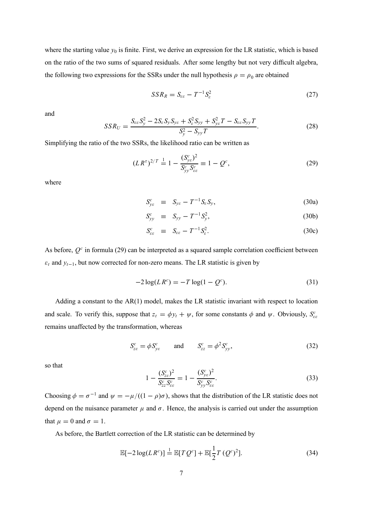where the starting value  $y_0$  is finite. First, we derive an expression for the LR statistic, which is based on the ratio of the two sums of squared residuals. After some lengthy but not very difficult algebra, the following two expressions for the SSRs under the null hypothesis  $\rho = \rho_0$  are obtained

$$
SSR_R = S_{\varepsilon\varepsilon} - T^{-1}S_{\varepsilon}^2 \tag{27}
$$

and

$$
SSR_U = \frac{S_{\varepsilon\varepsilon}S_y^2 - 2S_{\varepsilon}S_yS_{ye} + S_{\varepsilon}^2S_{yy} + S_{ye}^2T - S_{\varepsilon\varepsilon}S_{yy}T}{S_y^2 - S_{yy}T}.
$$
 (28)

Simplifying the ratio of the two SSRs, the likelihood ratio can be written as

$$
(LR^{\tau})^{2/T} \stackrel{1}{=} 1 - \frac{(S_{ye}^c)^2}{S_{yy}^c S_{ee}^c} \equiv 1 - Q^c,
$$
\n(29)

where

$$
S_{ye}^c \equiv S_{ye} - T^{-1} S_e S_y, \qquad (30a)
$$

$$
S_{yy}^c \equiv S_{yy} - T^{-1} S_y^2, \tag{30b}
$$

$$
S_{\varepsilon\varepsilon}^c \equiv S_{\varepsilon\varepsilon} - T^{-1} S_{\varepsilon}^2. \tag{30c}
$$

As before,  $Q^c$  in formula (29) can be interpreted as a squared sample correlation coefficient between  $\varepsilon_t$  and  $y_{t-1}$ , but now corrected for non-zero means. The LR statistic is given by

$$
-2\log(LR^c) = -T\log(1 - Q^c). \tag{31}
$$

Adding a constant to the AR(1) model, makes the LR statistic invariant with respect to location and scale. To verify this, suppose that  $z_t = \phi y_t + \psi$ , for some constants  $\phi$  and  $\psi$ . Obviously,  $S_{\epsilon \epsilon}^c$ remains unaffected by the transformation, whereas

$$
S_{ze}^c = \phi S_{ye}^c \qquad \text{and} \qquad S_{zz}^c = \phi^2 S_{yy}^c,
$$
 (32)

so that

$$
1 - \frac{(S_{ze}^c)^2}{S_{zz}^c S_{ee}^c} = 1 - \frac{(S_{ye}^c)^2}{S_{yy}^c S_{ee}^c}.
$$
\n(33)

Choosing  $\phi = \sigma^{-1}$  and  $\psi = -\mu/((1 - \rho)\sigma)$ , shows that the distribution of the LR statistic does not depend on the nuisance parameter  $\mu$  and  $\sigma$ . Hence, the analysis is carried out under the assumption that  $\mu = 0$  and  $\sigma = 1$ .

As before, the Bartlett correction of the LR statistic can be determined by

$$
\mathbb{E}[-2\log(LR^{c})] \stackrel{1}{=} \mathbb{E}[TQ^{c}] + \mathbb{E}[\frac{1}{2}T(Q^{c})^{2}].
$$
\n(34)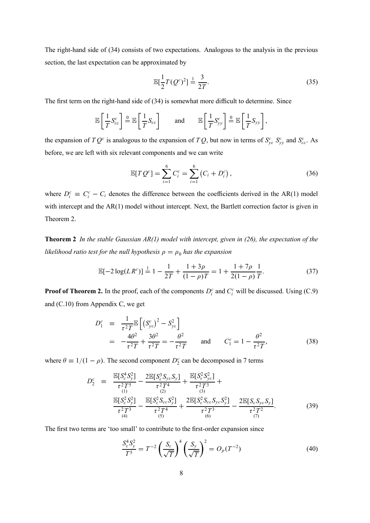The right-hand side of (34) consists of two expectations. Analogous to the analysis in the previous section, the last expectation can be approximated by

$$
\mathbb{E}[\frac{1}{2}T(Q^c)^2] \stackrel{!}{=} \frac{3}{2T}.
$$
\n(35)

The first term on the right-hand side of (34) is somewhat more difficult to determine. Since

$$
\mathbb{E}\left[\frac{1}{T}S_{\varepsilon\varepsilon}^c\right] \stackrel{\mathsf{0}}{=} \mathbb{E}\left[\frac{1}{T}S_{\varepsilon\varepsilon}\right] \quad \text{and} \quad \mathbb{E}\left[\frac{1}{T}S_{\mathcal{Y}\mathcal{Y}}^c\right] \stackrel{\mathsf{0}}{=} \mathbb{E}\left[\frac{1}{T}S_{\mathcal{Y}\mathcal{Y}}\right],
$$

the expansion of  $TQ^c$  is analogous to the expansion of  $TQ$ , but now in terms of  $S^c_{ye} S^c_{yy}$  and  $S^c_{ee}$ . As before, we are left with six relevant components and we can write

$$
\mathbb{E}[TQ^{c}] = \sum_{i=1}^{6} C_{i}^{c} = \sum_{i=1}^{6} (C_{i} + D_{i}^{c}), \qquad (36)
$$

where  $D_i^c \equiv C_i^c - C_i$  denotes the difference between the coefficients derived in the AR(1) model with intercept and the AR(1) model without intercept. Next, the Bartlett correction factor is given in Theorem 2.

**Theorem 2** *In the stable Gaussian AR(1) model with intercept, given in (26), the expectation of the likelihood ratio test for the null hypothesis*  $\rho = \rho_0$  *has the expansion* 

$$
\mathbb{E}[-2\log(L R^c)] \stackrel{!}{=} 1 - \frac{1}{2T} + \frac{1+3\rho}{(1-\rho)T} = 1 + \frac{1+7\rho}{2(1-\rho)}\frac{1}{T}.\tag{37}
$$

**Proof of Theorem 2.** In the proof, each of the components  $D_i^c$  and  $C_i^c$  will be discussed. Using (C.9) and (C.10) from Appendix C, we get

$$
D_1^c \equiv \frac{1}{\tau^2 T} \mathbb{E} \left[ \left( S_{y_c}^c \right)^2 - S_{y_c}^2 \right] = -\frac{4\theta^2}{\tau^2 T} + \frac{3\theta^2}{\tau^2 T} = -\frac{\theta^2}{\tau^2 T} \quad \text{and} \quad C_1^c = 1 - \frac{\theta^2}{\tau^2 T},
$$
(38)

where  $\theta \equiv 1/(1 - \rho)$ . The second component  $D_2^c$  can be decomposed in 7 terms

$$
D_2^c = \frac{\mathbb{E}[S_{\varepsilon}^4 S_y^2]}{\tau^2 T^5} - \frac{2 \mathbb{E}[S_{\varepsilon}^3 S_{y\varepsilon} S_y]}{\tau^2 T^4} + \frac{\mathbb{E}[S_{\varepsilon}^2 S_{y\varepsilon}^2]}{\tau^2 T^3} + \frac{\mathbb{E}[S_{\varepsilon}^2 S_{y\varepsilon}^2]}{\tau^3} - \frac{\mathbb{E}[S_{\varepsilon}^2 S_{\varepsilon}^2 S_{\varepsilon}^2]}{\tau^2 T^4} + \frac{2 \mathbb{E}[S_{\varepsilon}^2 S_{\varepsilon\varepsilon} S_{y\varepsilon} S_y^2]}{\tau^2 T^3} - \frac{2 \mathbb{E}[S_{\varepsilon} S_{y\varepsilon} S_y^2]}{\tau^2 T^3} - \frac{\mathbb{E}[S_{\varepsilon}^2 S_{\varepsilon\varepsilon} S_y^2]}{\tau^2 T^3} - \frac{2 \mathbb{E}[S_{\varepsilon} S_{y\varepsilon} S_y]}{\tau^2 T^2}.
$$
 (39)

The first two terms are 'too small' to contribute to the first-order expansion since

$$
\frac{S_e^4 S_y^2}{T^5} = T^{-2} \left(\frac{S_e}{\sqrt{T}}\right)^4 \left(\frac{S_y}{\sqrt{T}}\right)^2 = O_p(T^{-2})\tag{40}
$$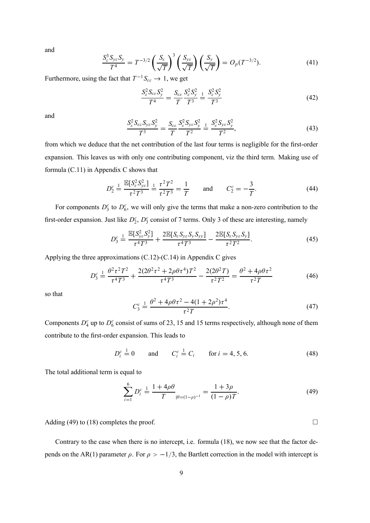and

$$
\frac{S_{\varepsilon}^{3} S_{y\varepsilon} S_{y}}{T^{4}} = T^{-3/2} \left( \frac{S_{\varepsilon}}{\sqrt{T}} \right)^{3} \left( \frac{S_{y\varepsilon}}{\sqrt{T}} \right) \left( \frac{S_{y}}{\sqrt{T}} \right) = O_{p}(T^{-3/2}). \tag{41}
$$

Furthermore, using the fact that  $T^{-1}S_{\varepsilon\varepsilon} \to 1$ , we get

$$
\frac{S_e^2 S_{\varepsilon \varepsilon} S_y^2}{T^4} = \frac{S_{\varepsilon \varepsilon}}{T} \frac{S_{\varepsilon}^2 S_y^2}{T^3} = \frac{S_{\varepsilon}^2 S_y^2}{T^3}
$$
(42)

and

$$
\frac{S_{\varepsilon}^{2} S_{\varepsilon \varepsilon} S_{y \varepsilon} S_{y}^{2}}{T^{3}} = \frac{S_{\varepsilon \varepsilon}}{T} \frac{S_{\varepsilon}^{2} S_{y \varepsilon} S_{y}^{2}}{T^{2}} \frac{1}{T^{2}} \frac{S_{\varepsilon}^{2} S_{y \varepsilon} S_{y}^{2}}{T^{2}},
$$
(43)

from which we deduce that the net contribution of the last four terms is negligible for the first-order expansion. This leaves us with only one contributing component, viz the third term. Making use of formula (C.11) in Appendix C shows that

$$
D_2^c \stackrel{!}{=} \frac{\mathbb{E}[S_e^2 S_{ye}^2]}{\tau^2 T^3} \stackrel{!}{=} \frac{\tau^2 T^2}{\tau^2 T^3} = \frac{1}{T} \quad \text{and} \quad C_2^c = -\frac{3}{T}.
$$
 (44)

For components  $D_3^c$  to  $D_6^c$ , we will only give the terms that make a non-zero contribution to the first-order expansion. Just like  $D_2^c$ ,  $D_3^c$  consist of 7 terms. Only 3 of these are interesting, namely

$$
D_3^c \stackrel{!}{=} \frac{\mathbb{E}[S_{ye}^2 S_y^2]}{\tau^4 T^3} + \frac{2 \mathbb{E}[S_e S_{ye} S_y S_{yy}]}{\tau^4 T^3} - \frac{2 \mathbb{E}[S_e S_{ye} S_y]}{\tau^2 T^2}.
$$
 (45)

Applying the three approximations (C.12)-(C.14) in Appendix C gives

$$
D_3^c \stackrel{!}{=} \frac{\theta^2 \tau^2 T^2}{\tau^4 T^3} + \frac{2(2\theta^2 \tau^2 + 2\rho \theta \tau^4) T^2}{\tau^4 T^3} - \frac{2(2\theta^2 T)}{\tau^2 T^2} = \frac{\theta^2 + 4\rho \theta \tau^2}{\tau^2 T} \tag{46}
$$

so that

$$
C_3^c \stackrel{1}{=} \frac{\theta^2 + 4\rho\theta\tau^2 - 4(1 + 2\rho^2)\tau^4}{\tau^2 T}.
$$
 (47)

Components  $D_4^c$  up to  $D_6^c$  consist of sums of 23, 15 and 15 terms respectively, although none of them contribute to the first-order expansion. This leads to

$$
D_i^c \stackrel{1}{=} 0
$$
 and  $C_i^c \stackrel{1}{=} C_i$  for  $i = 4, 5, 6$ . (48)

The total additional term is equal to

$$
\sum_{i=1}^{6} D_i^c \stackrel{1}{=} \frac{1 + 4\rho \theta}{T}_{|\theta = (1 - \rho)^{-1}} = \frac{1 + 3\rho}{(1 - \rho)T}.
$$
 (49)

Adding (49) to (18) completes the proof.  $\Box$ 

Contrary to the case when there is no intercept, i.e. formula (18), we now see that the factor depends on the AR(1) parameter  $\rho$ . For  $\rho > -1/3$ , the Bartlett correction in the model with intercept is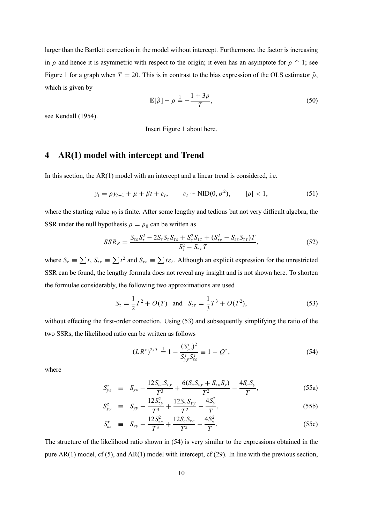larger than the Bartlett correction in the model without intercept. Furthermore, the factor is increasing in  $\rho$  and hence it is asymmetric with respect to the origin; it even has an asymptote for  $\rho \uparrow 1$ ; see Figure 1 for a graph when  $T = 20$ . This is in contrast to the bias expression of the OLS estimator  $\hat{\rho}$ , which is given by

$$
\mathbb{E}[\hat{\rho}] - \rho \stackrel{1}{=} -\frac{1+3\rho}{T},\tag{50}
$$

see Kendall (1954).

Insert Figure 1 about here.

# **4 AR(1) model with intercept and Trend**

In this section, the AR(1) model with an intercept and a linear trend is considered, i.e.

$$
y_t = \rho y_{t-1} + \mu + \beta t + \varepsilon_t, \qquad \varepsilon_t \sim \text{NID}(0, \sigma^2), \qquad |\rho| < 1,\tag{51}
$$

where the starting value  $y_0$  is finite. After some lengthy and tedious but not very difficult algebra, the SSR under the null hypothesis  $\rho = \rho_0$  can be written as

$$
SSR_R = \frac{S_{\varepsilon\varepsilon}S_{\tau}^2 - 2S_{\varepsilon}S_{\tau}S_{\tau\varepsilon} + S_{\varepsilon}^2S_{\tau\tau} + (S_{\tau\varepsilon}^2 - S_{\varepsilon\varepsilon}S_{\tau\tau})T}{S_{\tau}^2 - S_{\tau\tau}T},
$$
(52)

where  $S_t = \sum t$ ,  $S_{\tau t} = \sum t^2$  and  $S_{\tau \epsilon} = \sum t \epsilon_t$ . Although an explicit expression for the unrestricted SSR can be found, the lengthy formula does not reveal any insight and is not shown here. To shorten the formulae considerably, the following two approximations are used

$$
S_{\tau} = \frac{1}{2}T^2 + O(T) \text{ and } S_{\tau\tau} = \frac{1}{3}T^3 + O(T^2),
$$
 (53)

without effecting the first-order correction. Using (53) and subsequently simplifying the ratio of the two SSRs, the likelihood ratio can be written as follows

$$
(LR^{\tau})^{2/T} \stackrel{1}{=} 1 - \frac{(S_{ye}^{\tau})^2}{S_{yy}^{\tau} S_{ee}^{\tau}} \equiv 1 - Q^{\tau}, \qquad (54)
$$

where

$$
S_{ye}^{\tau} \equiv S_{ye} - \frac{12S_{\tau\epsilon}S_{\tau y}}{T^3} + \frac{6(S_{\epsilon}S_{\tau y} + S_{\tau\epsilon}S_{y})}{T^2} - \frac{4S_{\epsilon}S_{y}}{T}, \qquad (55a)
$$

$$
S_{yy}^{\tau} \equiv S_{yy} - \frac{12S_{\tau y}^2}{T^3} + \frac{12S_y S_{\tau y}}{T^2} - \frac{4S_y^2}{T}, \qquad (55b)
$$

$$
S_{\varepsilon\varepsilon}^{\tau} \equiv S_{yy} - \frac{12S_{\varepsilon\varepsilon}^2}{T^3} + \frac{12S_{\varepsilon}S_{\tau\varepsilon}}{T^2} - \frac{4S_{\varepsilon}^2}{T}.
$$
 (55c)

The structure of the likelihood ratio shown in (54) is very similar to the expressions obtained in the pure AR(1) model, cf (5), and AR(1) model with intercept, cf (29). In line with the previous section,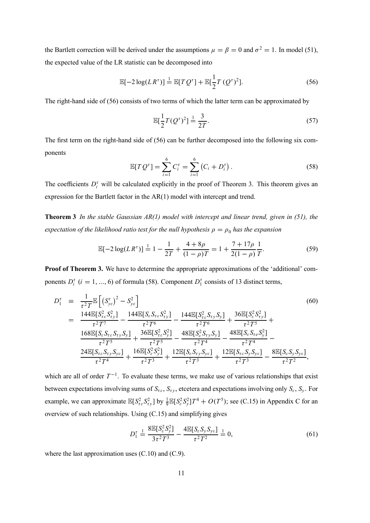the Bartlett correction will be derived under the assumptions  $\mu = \beta = 0$  and  $\sigma^2 = 1$ . In model (51), the expected value of the LR statistic can be decomposed into

$$
\mathbb{E}[-2\log(L R^{\tau})] \stackrel{1}{=} \mathbb{E}[T Q^{\tau}] + \mathbb{E}[\frac{1}{2}T (Q^{\tau})^2].
$$
\n(56)

The right-hand side of (56) consists of two terms of which the latter term can be approximated by

$$
\mathbb{E}\left[\frac{1}{2}T(Q^{\tau})^2\right] \stackrel{1}{=} \frac{3}{2T}.\tag{57}
$$

The first term on the right-hand side of (56) can be further decomposed into the following six components

$$
\mathbb{E}[TQ^{\tau}] = \sum_{i=1}^{6} C_i^{\tau} = \sum_{i=1}^{6} (C_i + D_i^{\tau}).
$$
\n(58)

The coefficients  $D_i^{\tau}$  will be calculated explicitly in the proof of Theorem 3. This theorem gives an expression for the Bartlett factor in the AR(1) model with intercept and trend.

**Theorem 3** *In the stable Gaussian AR(1) model with intercept and linear trend, given in (51), the expectation of the likelihood ratio test for the null hypothesis*  $\rho = \rho_0$  *has the expansion* 

$$
\mathbb{E}[-2\log(L R^{\tau})] \stackrel{1}{=} 1 - \frac{1}{2T} + \frac{4 + 8\rho}{(1 - \rho)T} = 1 + \frac{7 + 17\rho}{2(1 - \rho)}\frac{1}{T}.
$$
\n(59)

**Proof of Theorem 3.** We have to determine the appropriate approximations of the 'additional' components  $D_i^{\tau}$  ( $i = 1, ..., 6$ ) of formula (58). Component  $D_i^{\tau}$  consists of 13 distinct terms,

$$
D_{1}^{\tau} = \frac{1}{\tau^{2}T} \mathbb{E}\left[ \left( S_{ye}^{\tau} \right)^{2} - S_{ye}^{2} \right]
$$
\n
$$
= \frac{144 \mathbb{E}[S_{ee}^{2} S_{ry}^{2}]}{\tau^{2}T^{7}} - \frac{144 \mathbb{E}[S_{e} S_{\tau e} S_{ty}^{2}]}{\tau^{2}T^{6}} - \frac{144 \mathbb{E}[S_{ee}^{2} S_{\tau y} S_{y}]}{\tau^{2}T^{6}} + \frac{36 \mathbb{E}[S_{e}^{2} S_{ry}^{2}]}{\tau^{2}T^{5}} + \frac{168 \mathbb{E}[S_{e} S_{\tau e} S_{\tau y} S_{y}]}{\tau^{2}T^{5}} + \frac{36 \mathbb{E}[S_{ee}^{2} S_{\tau y}^{2}]}{\tau^{2}T^{5}} - \frac{48 \mathbb{E}[S_{e}^{2} S_{\tau y} S_{y}]}{\tau^{2}T^{4}} - \frac{48 \mathbb{E}[S_{e} S_{\tau e} S_{y}^{2}]}{\tau^{2}T^{4}} - \frac{24 \mathbb{E}[S_{\tau e} S_{\tau y} S_{ye}]}{\tau^{2}T^{4}} + \frac{16 \mathbb{E}[S_{e}^{2} S_{y}^{2}]}{\tau^{2}T^{3}} + \frac{12 \mathbb{E}[S_{e} S_{\tau y} S_{ye}]}{\tau^{2}T^{3}} + \frac{12 \mathbb{E}[S_{e} S_{\tau y} S_{ye}]}{\tau^{2}T^{3}} - \frac{8 \mathbb{E}[S_{e} S_{y} S_{ye}]}{\tau^{2}T^{2}},
$$
\n(60)

which are all of order  $T^{-1}$ . To evaluate these terms, we make use of various relationships that exist between expectations involving sums of  $S_{\tau \epsilon}$ ,  $S_{\tau y}$ , etcetera and expectations involving only  $S_{\epsilon}$ ,  $S_{y}$ . For example, we can approximate  $\mathbb{E}[S_{\tau_{\varepsilon}}^2 S_{\tau_{\varepsilon}}^2]$  by  $\frac{1}{9} \mathbb{E}[S_{\varepsilon}^2 S_{\varepsilon}^2] T^4 + O(T^5)$ ; see (C.15) in Appendix C for an overview of such relationships. Using (C.15) and simplifying gives

$$
D_1^{\tau} \stackrel{1}{=} \frac{8\mathbb{E}[S_e^2 S_y^2]}{3\tau^2 T^3} - \frac{4\mathbb{E}[S_e S_y S_{ye}]}{\tau^2 T^2} \stackrel{1}{=} 0,
$$
\n(61)

where the last approximation uses (C.10) and (C.9).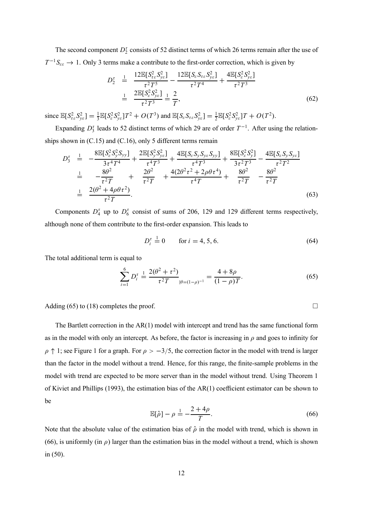The second component  $D_2^{\tau}$  consists of 52 distinct terms of which 26 terms remain after the use of  $T^{-1}S_{\varepsilon\varepsilon} \to 1$ . Only 3 terms make a contribute to the first-order correction, which is given by

$$
D_2^{\tau} = \frac{12 \mathbb{E}[S_{\tau \varepsilon}^2 S_{\nu \varepsilon}^2]}{\tau^2 T^5} - \frac{12 \mathbb{E}[S_{\varepsilon} S_{\tau \varepsilon} S_{\nu \varepsilon}^2]}{\tau^2 T^4} + \frac{4 \mathbb{E}[S_{\varepsilon}^2 S_{\nu \varepsilon}^2]}{\tau^2 T^3}
$$
  

$$
= \frac{2 \mathbb{E}[S_{\varepsilon}^2 S_{\nu \varepsilon}^2]}{\tau^2 T^3} = \frac{2}{T},
$$
 (62)

since  $\mathbb{E}[S_{\tau_{\varepsilon}}^2 S_{\nu_{\varepsilon}}^2] = \frac{1}{3} \mathbb{E}[S_{\varepsilon}^2 S_{\nu_{\varepsilon}}^2] T^2 + O(T^3)$  and  $\mathbb{E}[S_{\varepsilon} S_{\tau_{\varepsilon}} S_{\nu_{\varepsilon}}^2] = \frac{1}{2} \mathbb{E}[S_{\varepsilon}^2 S_{\nu_{\varepsilon}}^2] T + O(T^2)$ .

Expanding  $D_3^{\tau}$  leads to 52 distinct terms of which 29 are of order  $T^{-1}$ . After using the relationships shown in (C.15) and (C.16), only 5 different terms remain

$$
D_3^{\tau} \stackrel{1}{=} -\frac{8\mathbb{E}[S_{\varepsilon}^2 S_{\nu}^2 S_{\nu\nu}]}{3\tau^4 T^4} + \frac{2\mathbb{E}[S_{\nu}^2 S_{\nu\varepsilon}^2]}{\tau^4 T^3} + \frac{4\mathbb{E}[S_{\varepsilon} S_{\nu} S_{\nu\varepsilon} S_{\nu\nu}]}{\tau^4 T^3} + \frac{8\mathbb{E}[S_{\varepsilon}^2 S_{\nu}^2]}{3\tau^2 T^3} - \frac{4\mathbb{E}[S_{\varepsilon} S_{\nu} S_{\nu\varepsilon}]}{\tau^2 T^2}
$$
  
\n
$$
\stackrel{1}{=} -\frac{8\theta^2}{\tau^2 T} + \frac{2\theta^2}{\tau^2 T} + \frac{4(2\theta^2 \tau^2 + 2\rho \theta \tau^4)}{\tau^4 T} + \frac{8\theta^2}{\tau^2 T} - \frac{8\theta^2}{\tau^2 T}
$$
  
\n
$$
\stackrel{1}{=} \frac{2(\theta^2 + 4\rho \theta \tau^2)}{\tau^2 T}.
$$
 (63)

Components  $D_4^{\tau}$  up to  $D_6^{\tau}$  consist of sums of 206, 129 and 129 different terms respectively, although none of them contribute to the first-order expansion. This leads to

$$
D_i^{\tau} = 0 \qquad \text{for } i = 4, 5, 6. \tag{64}
$$

The total additional term is equal to

$$
\sum_{i=1}^{6} D_i^{\tau} \stackrel{1}{=} \frac{2(\theta^2 + \tau^2)}{\tau^2 T} \Big|_{\theta = (1-\rho)^{-1}} = \frac{4 + 8\rho}{(1-\rho)T}.
$$
 (65)

Adding (65) to (18) completes the proof.  $\Box$ 

The Bartlett correction in the AR(1) model with intercept and trend has the same functional form as in the model with only an intercept. As before, the factor is increasing in  $\rho$  and goes to infinity for  $\rho \uparrow 1$ ; see Figure 1 for a graph. For  $\rho > -3/5$ , the correction factor in the model with trend is larger than the factor in the model without a trend. Hence, for this range, the finite-sample problems in the model with trend are expected to be more server than in the model without trend. Using Theorem 1 of Kiviet and Phillips (1993), the estimation bias of the AR(1) coefficient estimator can be shown to be

$$
\mathbb{E}[\hat{\rho}] - \rho \stackrel{1}{=} -\frac{2+4\rho}{T}.\tag{66}
$$

Note that the absolute value of the estimation bias of  $\hat{\rho}$  in the model with trend, which is shown in (66), is uniformly (in  $\rho$ ) larger than the estimation bias in the model without a trend, which is shown in (50).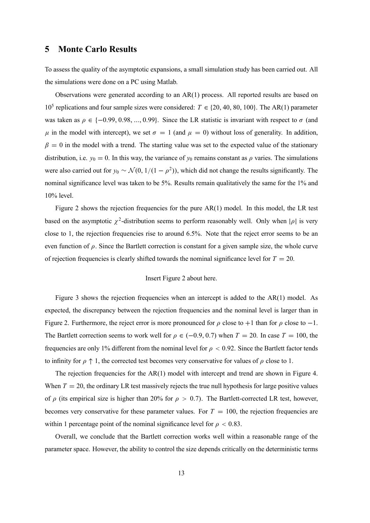## **5 Monte Carlo Results**

To assess the quality of the asymptotic expansions, a small simulation study has been carried out. All the simulations were done on a PC using Matlab.

Observations were generated according to an AR(1) process. All reported results are based on 10<sup>5</sup> replications and four sample sizes were considered:  $T \in \{20, 40, 80, 100\}$ . The AR(1) parameter was taken as  $\rho \in \{-0.99, 0.98, ..., 0.99\}$ . Since the LR statistic is invariant with respect to  $\sigma$  (and  $\mu$  in the model with intercept), we set  $\sigma = 1$  (and  $\mu = 0$ ) without loss of generality. In addition,  $\beta = 0$  in the model with a trend. The starting value was set to the expected value of the stationary distribution, i.e.  $y_0 = 0$ . In this way, the variance of  $y_0$  remains constant as  $\rho$  varies. The simulations were also carried out for  $y_0 \sim \mathcal{N}(0, 1/(1 - \rho^2))$ , which did not change the results significantly. The nominal significance level was taken to be 5%. Results remain qualitatively the same for the 1% and 10% level.

Figure 2 shows the rejection frequencies for the pure  $AR(1)$  model. In this model, the LR test based on the asymptotic  $\chi^2$ -distribution seems to perform reasonably well. Only when  $|\rho|$  is very close to 1, the rejection frequencies rise to around 6.5%. Note that the reject error seems to be an even function of  $\rho$ . Since the Bartlett correction is constant for a given sample size, the whole curve of rejection frequencies is clearly shifted towards the nominal significance level for  $T = 20$ .

#### Insert Figure 2 about here.

Figure 3 shows the rejection frequencies when an intercept is added to the AR(1) model. As expected, the discrepancy between the rejection frequencies and the nominal level is larger than in Figure 2. Furthermore, the reject error is more pronounced for  $\rho$  close to +1 than for  $\rho$  close to -1. The Bartlett correction seems to work well for  $\rho \in (-0.9, 0.7)$  when  $T = 20$ . In case  $T = 100$ , the frequencies are only 1% different from the nominal level for  $\rho < 0.92$ . Since the Bartlett factor tends to infinity for  $\rho \uparrow 1$ , the corrected test becomes very conservative for values of  $\rho$  close to 1.

The rejection frequencies for the AR(1) model with intercept and trend are shown in Figure 4. When  $T = 20$ , the ordinary LR test massively rejects the true null hypothesis for large positive values of  $\rho$  (its empirical size is higher than 20% for  $\rho > 0.7$ ). The Bartlett-corrected LR test, however, becomes very conservative for these parameter values. For  $T = 100$ , the rejection frequencies are within 1 percentage point of the nominal significance level for  $\rho < 0.83$ .

Overall, we conclude that the Bartlett correction works well within a reasonable range of the parameter space. However, the ability to control the size depends critically on the deterministic terms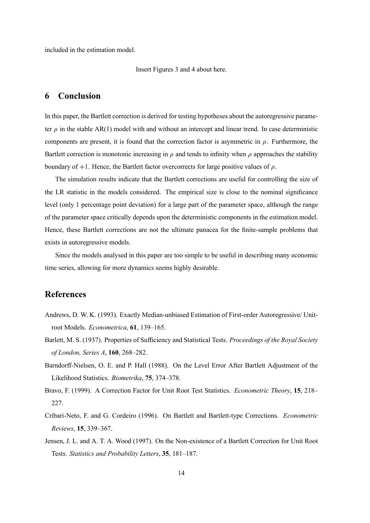included in the estimation model.

Insert Figures 3 and 4 about here.

## **6 Conclusion**

In this paper, the Bartlett correction is derived for testing hypotheses about the autoregressive parameter  $\rho$  in the stable AR(1) model with and without an intercept and linear trend. In case deterministic components are present, it is found that the correction factor is asymmetric in  $\rho$ . Furthermore, the Bartlett correction is monotonic increasing in  $\rho$  and tends to infinity when  $\rho$  approaches the stability boundary of  $+1$ . Hence, the Bartlett factor overcorrects for large positive values of  $\rho$ .

The simulation results indicate that the Bartlett corrections are useful for controlling the size of the LR statistic in the models considered. The empirical size is close to the nominal significance level (only 1 percentage point deviation) for a large part of the parameter space, although the range of the parameter space critically depends upon the deterministic components in the estimation model. Hence, these Bartlett corrections are not the ultimate panacea for the finite-sample problems that exists in autoregressive models.

Since the models analysed in this paper are too simple to be useful in describing many economic time series, allowing for more dynamics seems highly desirable.

# **References**

- Andrews, D. W. K. (1993). Exactly Median-unbiased Estimation of First-order Autoregressive/ Unitroot Models. *Econometrica*, **61**, 139–165.
- Barlett, M. S. (1937). Properties of Sufficiency and Statistical Tests. *Proceedings of the Royal Society of London, Series A*, **160**, 268–282.
- Barndorff-Nielsen, O. E. and P. Hall (1988). On the Level Error After Bartlett Adjustment of the Likelihood Statistics. *Biometrika*, **75**, 374–378.
- Bravo, F. (1999). A Correction Factor for Unit Root Test Statistics. *Econometric Theory*, **15**, 218– 227.
- Cribari-Neto, F. and G. Cordeiro (1996). On Bartlett and Bartlett-type Corrections. *Econometric Reviews*, **15**, 339–367.
- Jensen, J. L. and A. T. A. Wood (1997). On the Non-existence of a Bartlett Correction for Unit Root Tests. *Statistics and Probability Letters*, **35**, 181–187.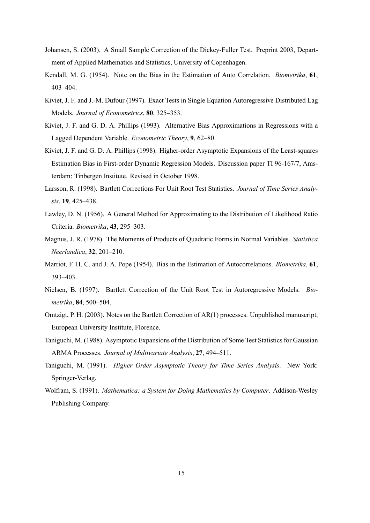- Johansen, S. (2003). A Small Sample Correction of the Dickey-Fuller Test. Preprint 2003, Department of Applied Mathematics and Statistics, University of Copenhagen.
- Kendall, M. G. (1954). Note on the Bias in the Estimation of Auto Correlation. *Biometrika*, **61**, 403–404.
- Kiviet, J. F. and J.-M. Dufour (1997). Exact Tests in Single Equation Autoregressive Distributed Lag Models. *Journal of Econometrics*, **80**, 325–353.
- Kiviet, J. F. and G. D. A. Phillips (1993). Alternative Bias Approximations in Regressions with a Lagged Dependent Variable. *Econometric Theory*, **9**, 62–80.
- Kiviet, J. F. and G. D. A. Phillips (1998). Higher-order Asymptotic Expansions of the Least-squares Estimation Bias in First-order Dynamic Regression Models. Discussion paper TI 96-167/7, Amsterdam: Tinbergen Institute. Revised in October 1998.
- Larsson, R. (1998). Bartlett Corrections For Unit Root Test Statistics. *Journal of Time Series Analysis*, **19**, 425–438.
- Lawley, D. N. (1956). A General Method for Approximating to the Distribution of Likelihood Ratio Criteria. *Biometrika*, **43**, 295–303.
- Magnus, J. R. (1978). The Moments of Products of Quadratic Forms in Normal Variables. *Statistica Neerlandica*, **32**, 201–210.
- Marriot, F. H. C. and J. A. Pope (1954). Bias in the Estimation of Autocorrelations. *Biometrika*, **61**, 393–403.
- Nielsen, B. (1997). Bartlett Correction of the Unit Root Test in Autoregressive Models. *Biometrika*, **84**, 500–504.
- Omtzigt, P. H. (2003). Notes on the Bartlett Correction of AR(1) processes. Unpublished manuscript, European University Institute, Florence.
- Taniguchi, M. (1988). Asymptotic Expansions of the Distribution of Some Test Statistics for Gaussian ARMA Processes. *Journal of Multivariate Analysis*, **27**, 494–511.
- Taniguchi, M. (1991). *Higher Order Asymptotic Theory for Time Series Analysis*. New York: Springer-Verlag.
- Wolfram, S. (1991). *Mathematica: a System for Doing Mathematics by Computer*. Addison-Wesley Publishing Company.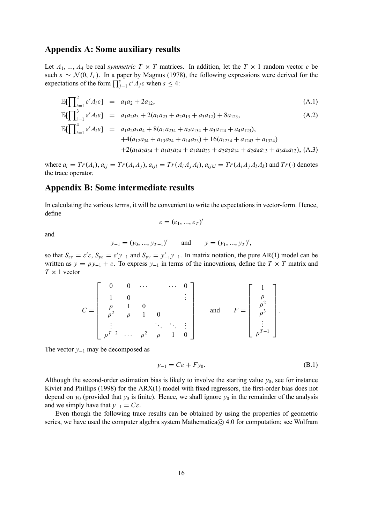## **Appendix A: Some auxiliary results**

Let  $A_1, ..., A_4$  be real *symmetric*  $T \times T$  matrices. In addition, let the  $T \times 1$  random vector  $\varepsilon$  be such  $\varepsilon \sim \mathcal{N}(0, I_T)$ . In a paper by Magnus (1978), the following expressions were derived for the expectations of the form  $\prod_{j=1}^{s} \varepsilon' A_j \varepsilon$  when  $s \leq 4$ :

$$
\mathbb{E}[\prod_{i=1}^{2} \varepsilon' A_{i} \varepsilon] = a_{1} a_{2} + 2 a_{12},
$$
\n(A.1)  
\n
$$
\mathbb{E}[\prod_{i=1}^{3} \varepsilon' A_{i} \varepsilon] = a_{1} a_{2} a_{3} + 2(a_{1} a_{23} + a_{2} a_{13} + a_{3} a_{12}) + 8 a_{123},
$$
\n(A.2)  
\n
$$
\mathbb{E}[\prod_{i=1}^{4} \varepsilon' A_{i} \varepsilon] = a_{1} a_{2} a_{3} a_{4} + 8(a_{1} a_{234} + a_{2} a_{134} + a_{3} a_{124} + a_{4} a_{123}),
$$
\n
$$
+ 4(a_{12} a_{34} + a_{13} a_{24} + a_{14} a_{23}) + 16(a_{1234} + a_{1243} + a_{1324})
$$
\n
$$
+ 2(a_{1} a_{2} a_{34} + a_{1} a_{3} a_{24} + a_{1} a_{4} a_{23} + a_{2} a_{3} a_{14} + a_{2} a_{4} a_{13} + a_{3} a_{4} a_{12}),
$$
\n(A.3)

where  $a_i = Tr(A_i)$ ,  $a_{ij} = Tr(A_i A_j)$ ,  $a_{ijl} = Tr(A_i A_j A_l)$ ,  $a_{ijkl} = Tr(A_i A_j A_l A_k)$  and  $Tr(\cdot)$  denotes the trace operator.

# **Appendix B: Some intermediate results**

In calculating the various terms, it will be convenient to write the expectations in vector-form. Hence, define

$$
\varepsilon=(\varepsilon_1,...,\varepsilon_T)'
$$

and

$$
y_{-1} = (y_0, ..., y_{T-1})'
$$
 and  $y = (y_1, ..., y_T)'$ ,

so that  $S_{\varepsilon\varepsilon} = \varepsilon' \varepsilon$ ,  $S_{\varepsilon\varepsilon} = \varepsilon' y_{-1}$  and  $S_{\varepsilon y} = y'_{-1} y_{-1}$ . In matrix notation, the pure AR(1) model can be written as  $y = \rho y_{-1} + \varepsilon$ . To express  $y_{-1}$  in terms of the innovations, define the  $T \times T$  matrix and  $T \times 1$  vector

$$
C = \begin{bmatrix} 0 & 0 & \cdots & & \cdots & 0 \\ 1 & 0 & & & & \\ \rho & 1 & 0 & & & \\ \rho^2 & \rho & 1 & 0 & & \\ \vdots & & & \ddots & \ddots & \vdots \\ \rho^{T-2} & \cdots & \rho^2 & \rho & 1 & 0 \end{bmatrix} \quad \text{and} \quad F = \begin{bmatrix} 1 \\ \rho \\ \rho^2 \\ \vdots \\ \rho^{T-1} \end{bmatrix}.
$$

The vector *y*−<sup>1</sup> may be decomposed as

$$
y_{-1} = C\varepsilon + F y_0. \tag{B.1}
$$

Although the second-order estimation bias is likely to involve the starting value  $y_0$ , see for instance Kiviet and Phillips (1998) for the ARX(1) model with fixed regressors, the first-order bias does not depend on  $y_0$  (provided that  $y_0$  is finite). Hence, we shall ignore  $y_0$  in the remainder of the analysis and we simply have that  $y_{-1} = C \varepsilon$ .

Even though the following trace results can be obtained by using the properties of geometric series, we have used the computer algebra system Mathematica $\odot$  4.0 for computation; see Wolfram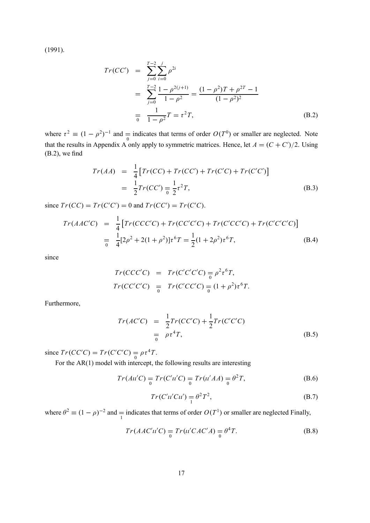(1991).

$$
Tr(CC') = \sum_{j=0}^{T-2} \sum_{i=0}^{j} \rho^{2i}
$$
  
= 
$$
\sum_{j=0}^{T-2} \frac{1 - \rho^{2(j+1)}}{1 - \rho^2} = \frac{(1 - \rho^2)T + \rho^{2T} - 1}{(1 - \rho^2)^2}
$$
  
= 
$$
\frac{1}{1 - \rho^2}T = \tau^2 T,
$$
 (B.2)

where  $\tau^2 \equiv (1 - \rho^2)^{-1}$  and  $\equiv$  indicates that terms of order  $O(T^0)$  or smaller are neglected. Note that the results in Appendix A only apply to symmetric matrices. Hence, let  $A = (C + C')/2$ . Using (B.2), we find

$$
Tr(AA) = \frac{1}{4} [Tr(CC) + Tr(CC') + Tr(C'C) + Tr(C'C')]
$$
  
= 
$$
\frac{1}{2} Tr(CC') = \frac{1}{2} \tau^2 T,
$$
 (B.3)

since  $Tr(CC) = Tr(C'C') = 0$  and  $Tr(CC) = Tr(C'C)$ .

$$
Tr(AAC'C) = \frac{1}{4} [Tr(CCC'C) + Tr(CC'C'C) + Tr(C'C'C') + Tr(C'C'C'C')]
$$
  
= 
$$
\frac{1}{4} [2\rho^2 + 2(1+\rho^2)] \tau^6 T = \frac{1}{2} (1+2\rho^2) \tau^6 T,
$$
 (B.4)

since

$$
Tr(CC'C') = Tr(C'C'C') = \rho^2 \tau^6 T,
$$
  

$$
Tr(CC'C') = Tr(C'C'C') = (1 + \rho^2) \tau^6 T.
$$

Furthermore,

$$
Tr(AC'C) = \frac{1}{2}Tr(CC'C) + \frac{1}{2}Tr(C'C'C)
$$
  
=  $\rho \tau^4 T,$  (B.5)

since  $Tr(CC'C) = Tr(C'C'C) = \rho \tau^4 T$ .

For the AR(1) model with intercept, the following results are interesting

$$
Tr(Au'C) = Tr(C'u'C) = Tr(u'AA) = \theta^2 T,
$$
 (B.6)

$$
Tr(C'u'Cu') = \theta^2 T^2,
$$
\n(B.7)

where  $\theta^2 \equiv (1 - \rho)^{-2}$  and  $\equiv$  indicates that terms of order  $O(T^1)$  or smaller are neglected Finally,

$$
Tr(AAC'u'C) = Tr(u'CAC'A) = \theta^4T.
$$
 (B.8)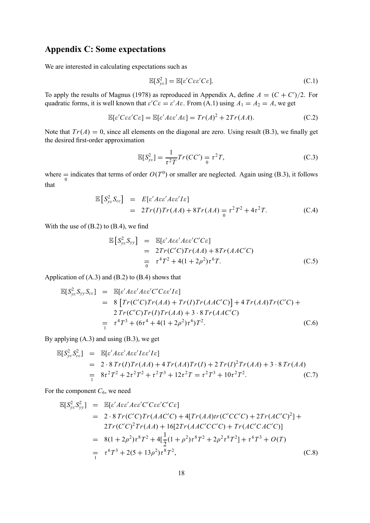# **Appendix C: Some expectations**

We are interested in calculating expectations such as

$$
\mathbb{E}[S_{ye}^2] = \mathbb{E}[\varepsilon' C \varepsilon \varepsilon' C \varepsilon]. \tag{C.1}
$$

To apply the results of Magnus (1978) as reproduced in Appendix A, define  $A = (C + C')/2$ . For quadratic forms, it is well known that  $\varepsilon' C \varepsilon = \varepsilon' A \varepsilon$ . From (A.1) using  $A_1 = A_2 = A$ , we get

$$
\mathbb{E}[\varepsilon' C \varepsilon \varepsilon' C \varepsilon] = \mathbb{E}[\varepsilon' A \varepsilon \varepsilon' A \varepsilon] = Tr(A)^2 + 2Tr(AA). \tag{C.2}
$$

Note that  $Tr(A) = 0$ , since all elements on the diagonal are zero. Using result (B.3), we finally get the desired first-order approximation

$$
\mathbb{E}[S_{\mathcal{Y}\varepsilon}^2] = \frac{1}{\tau^2 T} Tr(CC') = \tau^2 T,
$$
\n(C.3)

where  $\frac{1}{0}$  indicates that terms of order  $O(T^0)$  or smaller are neglected. Again using (B.3), it follows that

$$
\mathbb{E}\left[S_{ye}^2 S_{ee}\right] = E\left[e'A\epsilon e'A\epsilon e'I\epsilon\right]
$$
  
=  $2Tr(I)Tr(AA) + 8Tr(AA) = \tau^2 T^2 + 4\tau^2 T.$  (C.4)

With the use of  $(B.2)$  to  $(B.4)$ , we find

$$
\mathbb{E}\left[S_{ye}^{2}S_{yy}\right] = \mathbb{E}\left[e'A\varepsilon e'A\varepsilon e'C'C\varepsilon\right]
$$
  
\n
$$
= 2Tr(C'C)Tr(AA) + 8Tr(AAC'C)
$$
  
\n
$$
= \tau^{4}T^{2} + 4(1+2\rho^{2})\tau^{6}T.
$$
 (C.5)

Application of  $(A.3)$  and  $(B.2)$  to  $(B.4)$  shows that

$$
\mathbb{E}[S_{ye}^2 S_{yy} S_{ee}] = \mathbb{E}[e'A\epsilon e'A\epsilon e'C'C\epsilon e'I\epsilon]
$$
  
\n
$$
= 8 \left[ Tr(C'C)Tr(AA) + Tr(I)Tr(AAC'C) \right] + 4 Tr(AA)Tr(C'C) + 2 Tr(C'C)Tr(I)Tr(AA) + 3 \cdot 8 Tr(AAC'C)
$$
  
\n
$$
= \tau^4 T^3 + (6\tau^4 + 4(1+2\rho^2)\tau^6)T^2.
$$
 (C.6)

By applying (A.3) and using (B.3), we get

$$
\mathbb{E}[S_{ye}^2 S_{ee}^2] = \mathbb{E}[e' A \varepsilon e' A \varepsilon' I \varepsilon e' I \varepsilon]
$$
  
= 2 \cdot 8 \ Tr(I) Tr(AA) + 4 Tr(AA) Tr(I) + 2 Tr(I)<sup>2</sup> Tr(AA) + 3 \cdot 8 Tr(AA)  
= 8\tau<sup>2</sup> T<sup>2</sup> + 2\tau<sup>2</sup> T<sup>2</sup> + \tau<sup>2</sup> T<sup>3</sup> + 12\tau<sup>2</sup> T = \tau<sup>2</sup> T<sup>3</sup> + 10\tau<sup>2</sup> T<sup>2</sup>. (C.7)

For the component  $C_6$ , we need

$$
\mathbb{E}[S_{ye}^2 S_{yy}^2] = \mathbb{E}[\varepsilon' A \varepsilon \varepsilon' A \varepsilon \varepsilon' C' C \varepsilon \varepsilon' C' C \varepsilon]
$$
  
\n= 2 \cdot 8 \ Tr(C'C) Tr(AAC'C) + 4[Tr(AA)tr(C'CC'C) + 2Tr(AC'C)^2] +  
\n2Tr(C'C)^2 Tr(AA) + 16[2Tr(AAC'CC'C) + Tr(AC'CAC'C)]  
\n= 8(1 + 2\rho^2)\tau^8 T^2 + 4[\frac{1}{2}(1 + \rho^2)\tau^8 T^2 + 2\rho^2\tau^8 T^2] + \tau^6 T^3 + O(T)  
\n= \tau^6 T^3 + 2(5 + 13\rho^2)\tau^8 T^2, (C.8)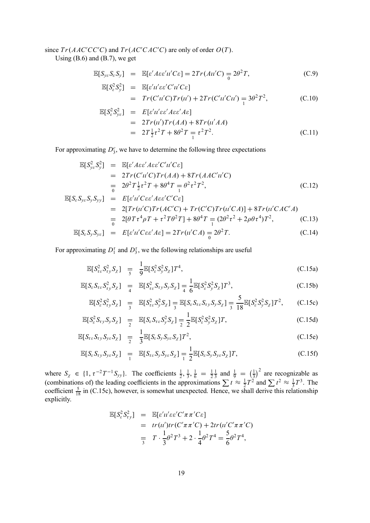#### since  $Tr(AAC^{\prime}CC^{\prime}C)$  and  $Tr(AC^{\prime}CAC^{\prime}C)$  are only of order  $O(T)$ .

Using  $(B.6)$  and  $(B.7)$ , we get

$$
\mathbb{E}[S_{ye}S_{\varepsilon}S_{y}] = \mathbb{E}[\varepsilon' A\varepsilon \varepsilon' u' C \varepsilon] = 2Tr(Au'C) = 2\theta^2 T,
$$
 (C.9)

$$
\mathbb{E}[S_{\varepsilon}^{2}S_{y}^{2}] = \mathbb{E}[\varepsilon'u'\varepsilon\varepsilon'C'u'C\varepsilon]
$$
  
=  $Tr(C'u'C)Tr(u') + 2Tr(C'u'Cu') = 3\theta^{2}T^{2}$ , (C.10)

$$
\mathbb{E}[S_{\varepsilon}^{2}S_{\gamma\varepsilon}^{2}] = E[\varepsilon'u'\varepsilon\varepsilon' A\varepsilon\varepsilon' A\varepsilon]
$$
  
\n
$$
= 2Tr(u')Tr(AA) + 8Tr(u'AA)
$$
  
\n
$$
= 2T\frac{1}{2}\tau^{2}T + 8\theta^{2}T = \tau^{2}T^{2}.
$$
 (C.11)

For approximating  $D_3^c$ , we have to determine the following three expectations

$$
\mathbb{E}[S_{ye}^2 S_y^2] = \mathbb{E}[\varepsilon' A \varepsilon \varepsilon' A \varepsilon \varepsilon' C'u'C \varepsilon]
$$
  
= 
$$
2Tr(C'u'C)Tr(AA) + 8Tr(AAC'u'C)
$$
  
= 
$$
2\theta^2 T \frac{1}{2}\tau^2 T + 8\theta^4 T = \theta^2 \tau^2 T^2,
$$
 (C.12)

$$
\mathbb{E}[S_{\varepsilon}S_{y\varepsilon}S_{y}S_{yy}] = E[\varepsilon'u'C\varepsilon'A\varepsilon\varepsilon'C'C\varepsilon]
$$
  
\n
$$
= 2[Tr(u'C)Tr(AC'C) + Tr(C'C)Tr(u'CA)] + 8Tr(u'CAC'A)
$$
  
\n
$$
= 2[\theta T\tau^4\rho T + \tau^2T\theta^2T] + 8\theta^4T = (2\theta^2\tau^2 + 2\rho\theta\tau^4)T^2,
$$
 (C.13)

$$
\mathbb{E}[S_{\varepsilon}S_{y}S_{y\varepsilon}] = E[\varepsilon'u'C\varepsilon\varepsilon' A\varepsilon] = 2Tr(u'CA) = 2\theta^{2}T.
$$
 (C.14)

For approximating  $D_1^{\tau}$  and  $D_3^{\tau}$ , we the following relationships are useful

$$
\mathbb{E}[S_{\tau_{\varepsilon}}^{2} S_{\tau_{\varepsilon}}^{2} S_{\chi}] = \frac{1}{9} \mathbb{E}[S_{\varepsilon}^{2} S_{\varepsilon}^{2} S_{\chi}] T^{4}, \tag{C.15a}
$$

$$
\mathbb{E}[S_{\varepsilon}S_{\tau\varepsilon}S_{\tau y}^2S_{\chi}] = \mathbb{E}[S_{\tau\varepsilon}^2S_{\tau y}S_{y}S_{\chi}] = \frac{1}{4}\mathbb{E}[S_{\varepsilon}^2S_{y}^2S_{\chi}]T^3,
$$
\n(C.15b)

$$
\mathbb{E}[S_{\varepsilon}^2 S_{\varepsilon y}^2 S_{\chi}] = \mathbb{E}[S_{\varepsilon \varepsilon}^2 S_{\varepsilon y}^2 S_{\chi}] = \mathbb{E}[S_{\varepsilon} S_{\varepsilon \varepsilon} S_{\varepsilon y} S_{y} S_{\chi}] = \frac{5}{3} \mathbb{E}[S_{\varepsilon}^2 S_{\varepsilon}^2 S_{\chi}^2] T^2, \qquad (C.15c)
$$

$$
\mathbb{E}[S_{\varepsilon}^2 S_{\tau y} S_y S_\chi] = \mathbb{E}[S_{\varepsilon} S_{\tau \varepsilon} S_y^2 S_\chi] = \frac{1}{2} \mathbb{E}[S_{\varepsilon}^2 S_y^2 S_\chi] T,
$$
\n(C.15d)

$$
\mathbb{E}[S_{\tau\varepsilon}S_{\tau y}S_{y\varepsilon}S_{\chi}] = \frac{1}{2} \mathbb{E}[S_{\varepsilon}S_{y}S_{y\varepsilon}S_{\chi}]T^{2}, \qquad (C.15e)
$$

$$
\mathbb{E}[S_{\varepsilon} S_{\tau y} S_{y \varepsilon} S_{\chi}] = \mathbb{E}[S_{\tau \varepsilon} S_{y} S_{y \varepsilon} S_{\chi}] = \frac{1}{2} \mathbb{E}[S_{\varepsilon} S_{y} S_{y \varepsilon} S_{\chi}]T, \tag{C.15f}
$$

where  $S_\chi \in \{1, \tau^{-2}T^{-1}S_{yy}\}\$ . The coefficients  $\frac{1}{2}, \frac{1}{3}, \frac{1}{6} = \frac{1}{2}$  $\frac{1}{3}$  and  $\frac{1}{9} = \left(\frac{1}{3}\right)^2$  are recognizable as (combinations of) the leading coefficients in the approximations  $\sum t \approx \frac{1}{2}T^2$  and  $\sum t^2 \approx \frac{1}{3}T^3$ . The coefficient  $\frac{5}{18}$  in (C.15c), however, is somewhat unexpected. Hence, we shall derive this relationship explicitly.

$$
\mathbb{E}[S_{\varepsilon}^2 S_{\tau y}^2] = \mathbb{E}[\varepsilon' u' \varepsilon \varepsilon' C' \pi \pi' C \varepsilon]
$$
  
=  $tr(u') tr(C' \pi \pi' C) + 2tr(u' C' \pi \pi' C)$   
=  $T \cdot \frac{1}{3} \theta^2 T^3 + 2 \cdot \frac{1}{4} \theta^2 T^4 = \frac{5}{6} \theta^2 T^4$ ,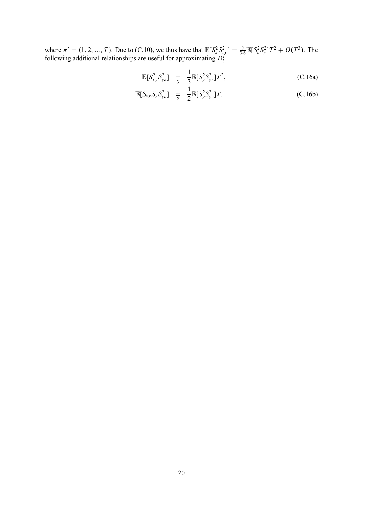where  $\pi' = (1, 2, ..., T)$ . Due to (C.10), we thus have that  $\mathbb{E}[S_e^2 S_{\tau y}^2] = \frac{5}{3.6} \mathbb{E}[S_e^2 S_y^2] T^2 + O(T^3)$ . The following additional relationships are useful for approximating  $D_3^{\tau}$ 

$$
\mathbb{E}[S_{\tau y}^2 S_{\gamma e}^2] = \frac{1}{3} \mathbb{E}[S_{\gamma}^2 S_{\gamma e}^2] T^2, \tag{C.16a}
$$

$$
\mathbb{E}[S_{\tau y}S_{y}S_{y\epsilon}^2] = \frac{1}{2} \mathbb{E}[S_{y}^2 S_{y\epsilon}^2]T. \tag{C.16b}
$$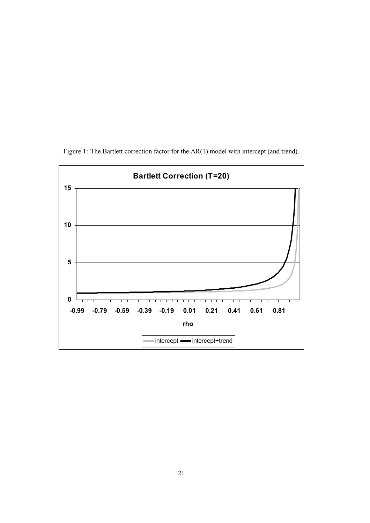

Figure 1: The Bartlett correction factor for the AR(1) model with intercept (and trend).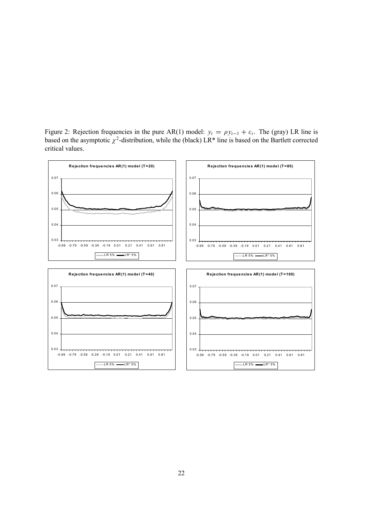Figure 2: Rejection frequencies in the pure AR(1) model:  $y_t = \rho y_{t-1} + \varepsilon_t$ . The (gray) LR line is based on the asymptotic  $\chi^2$ -distribution, while the (black) LR\* line is based on the Bartlett corrected critical values.

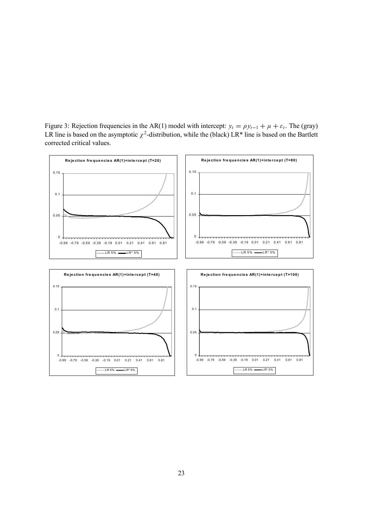Figure 3: Rejection frequencies in the AR(1) model with intercept:  $y_t = \rho y_{t-1} + \mu + \varepsilon_t$ . The (gray) LR line is based on the asymptotic  $\chi^2$ -distribution, while the (black) LR\* line is based on the Bartlett corrected critical values.